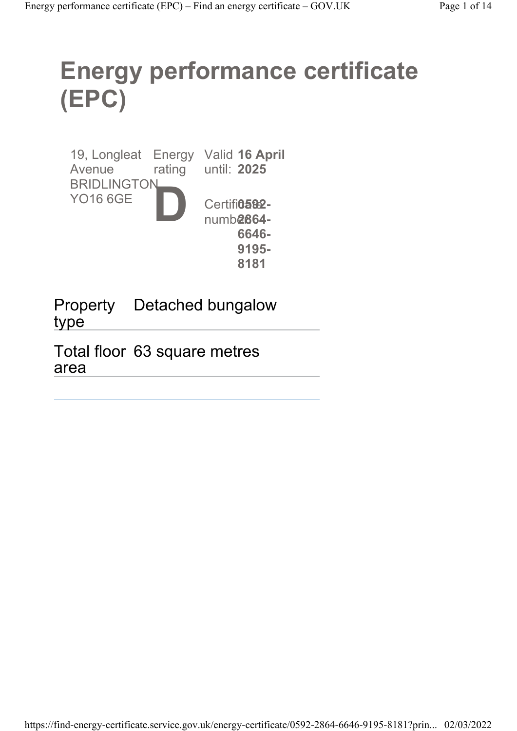# Energy performance certificate (EPC)

19, Longleat Energy Valid 16 April Avenue BRIDLINGTON YO16 6GE rating until: 2025 D Certifi**0592**numb**2864-**6646- 9195- 8181

Property type Detached bungalow

Total floor 63 square metres area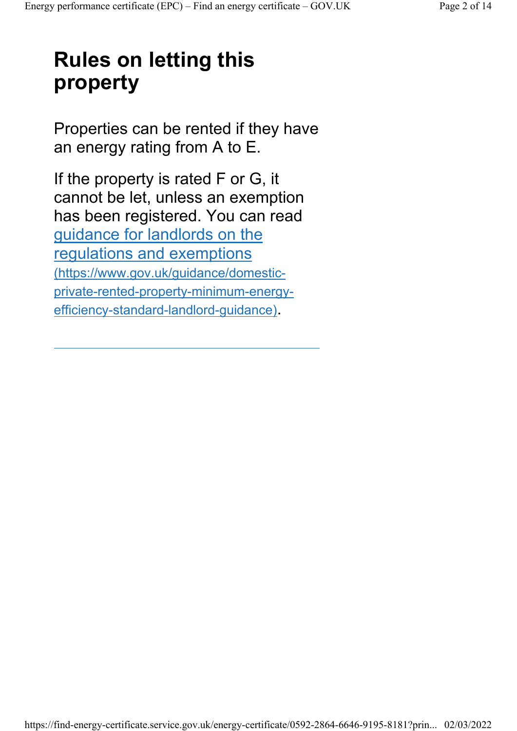## Rules on letting this property

Properties can be rented if they have an energy rating from A to E.

If the property is rated F or G, it cannot be let, unless an exemption has been registered. You can read guidance for landlords on the regulations and exemptions (https://www.gov.uk/guidance/domesticprivate-rented-property-minimum-energyefficiency-standard-landlord-guidance).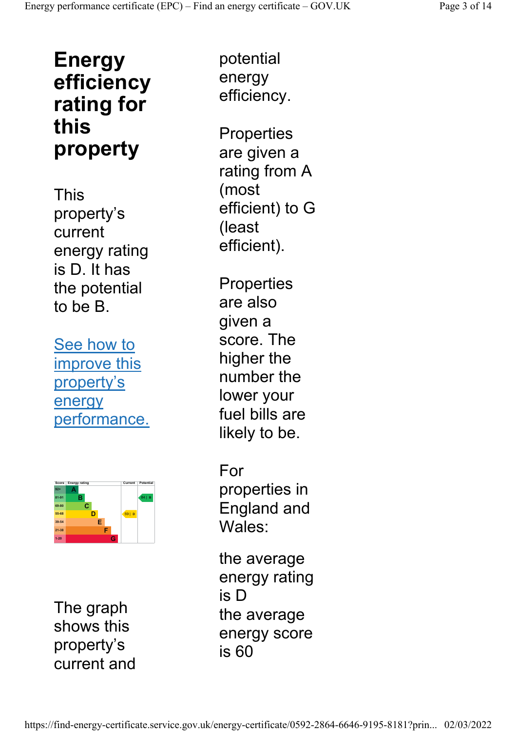### Energy efficiency rating for this property

This property's current energy rating is D. It has the potential to be B.

See how to improve this property's energy performance.



The graph shows this property's current and

potential energy efficiency.

**Properties** are given a rating from A (most efficient) to G (least efficient).

**Properties** are also given a score. The higher the number the lower your fuel bills are likely to be.

For properties in England and Wales:

the average energy rating is D the average energy score is 60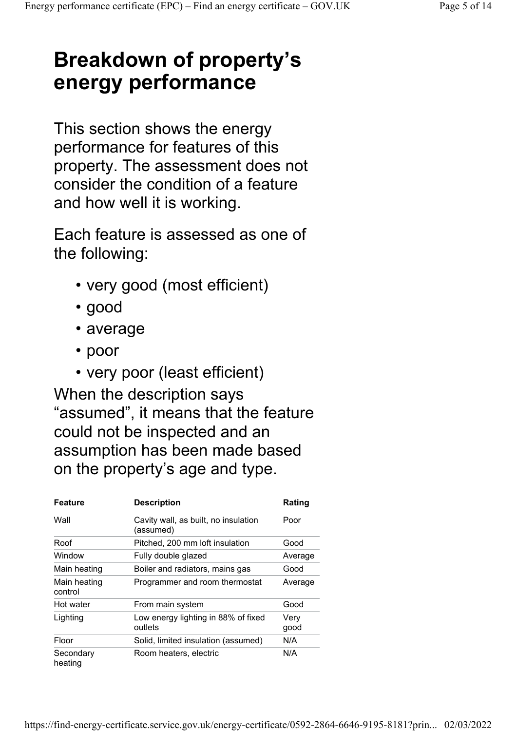### Breakdown of property's energy performance

This section shows the energy performance for features of this property. The assessment does not consider the condition of a feature and how well it is working.

Each feature is assessed as one of the following:

- very good (most efficient)
- good
- average
- poor
- very poor (least efficient)

When the description says "assumed", it means that the feature could not be inspected and an assumption has been made based on the property's age and type.

| Feature                 | <b>Description</b>                                | Rating       |
|-------------------------|---------------------------------------------------|--------------|
| Wall                    | Cavity wall, as built, no insulation<br>(assumed) | Poor         |
| Roof                    | Pitched, 200 mm loft insulation                   | Good         |
| Window                  | Fully double glazed                               | Average      |
| Main heating            | Boiler and radiators, mains gas                   | Good         |
| Main heating<br>control | Programmer and room thermostat                    | Average      |
| Hot water               | From main system                                  | Good         |
| Lighting                | Low energy lighting in 88% of fixed<br>outlets    | Very<br>good |
| Floor                   | Solid, limited insulation (assumed)               | N/A          |
| Secondary<br>heating    | Room heaters, electric                            | N/A          |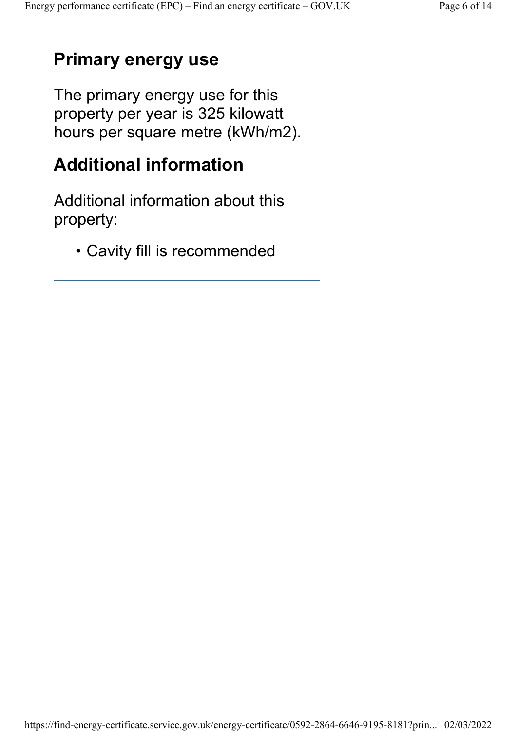#### Primary energy use

The primary energy use for this property per year is 325 kilowatt hours per square metre (kWh/m2).

#### Additional information

Additional information about this property:

• Cavity fill is recommended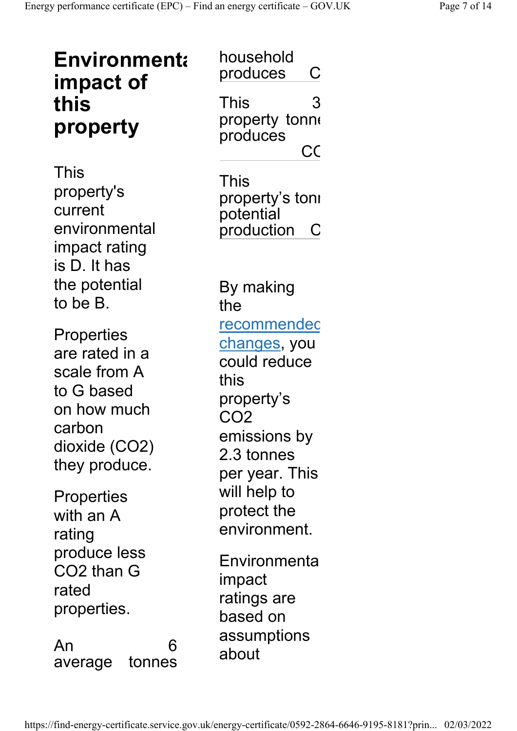| <b>Environmenta</b><br>impact of<br>this<br>property                                                                         | household<br>produces<br>С<br>3<br>This<br>property tonne<br>produces<br>CC                                                                        |  |  |
|------------------------------------------------------------------------------------------------------------------------------|----------------------------------------------------------------------------------------------------------------------------------------------------|--|--|
| This<br>property's<br>current<br>environmental<br>impact rating<br>is D. It has                                              | This<br>property's tonı<br>potential<br>production<br>C                                                                                            |  |  |
| the potential<br>to be B.                                                                                                    | By making<br>the                                                                                                                                   |  |  |
| <b>Properties</b><br>are rated in a<br>scale from A<br>to G based<br>on how much<br>carbon<br>dioxide (CO2)<br>they produce. | <u>recommendec</u><br><u>changes,</u> you<br>could reduce<br>this<br>property's<br>CO <sub>2</sub><br>emissions by<br>2.3 tonnes<br>per year. This |  |  |
| Properties<br>with an A<br>rating                                                                                            | will help to<br>protect the<br>environment.                                                                                                        |  |  |
| produce less<br>CO2 than G<br>rated<br>properties.                                                                           | Environmenta<br>impact<br>ratings are<br>based on                                                                                                  |  |  |
| An<br>6<br>tonnes<br>average                                                                                                 | assumptions<br>about                                                                                                                               |  |  |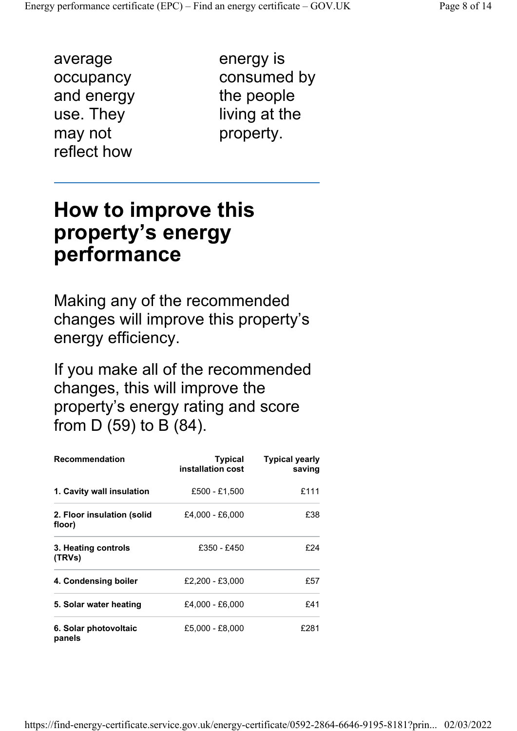average occupancy and energy use. They may not reflect how

energy is consumed by the people living at the property.

#### How to improve this property's energy performance

Making any of the recommended changes will improve this property's energy efficiency.

If you make all of the recommended changes, this will improve the property's energy rating and score from D (59) to B (84).

| <b>Recommendation</b>                | <b>Typical</b><br>installation cost | <b>Typical yearly</b><br>saving |
|--------------------------------------|-------------------------------------|---------------------------------|
| 1. Cavity wall insulation            | £500 - £1.500                       | £111                            |
| 2. Floor insulation (solid<br>floor) | £4,000 - £6,000                     | £38                             |
| 3. Heating controls<br>(TRVs)        | £350 - £450                         | £24                             |
| 4. Condensing boiler                 | £2.200 - £3.000                     | £57                             |
| 5. Solar water heating               | £4.000 - £6.000                     | £41                             |
| 6. Solar photovoltaic<br>panels      | £5,000 - £8,000                     | £281                            |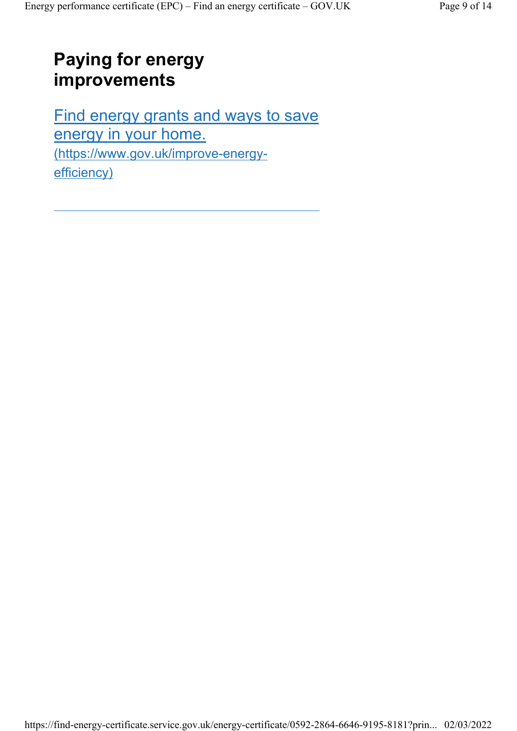#### Paying for energy improvements

Find energy grants and ways to save energy in your home. (https://www.gov.uk/improve-energyefficiency)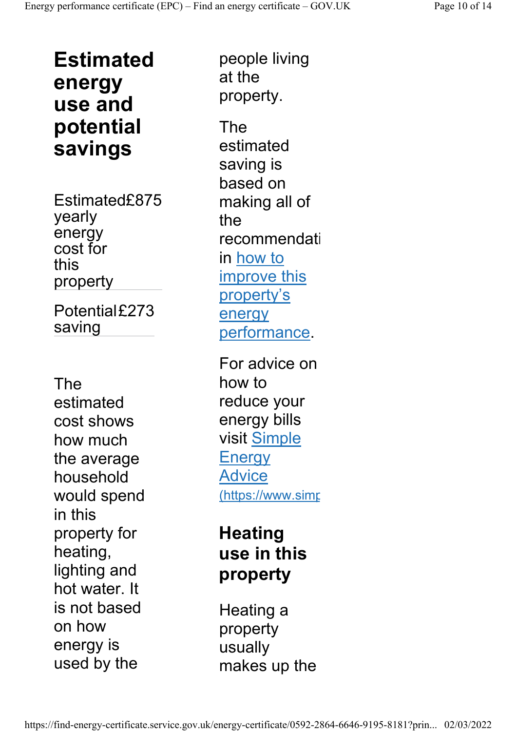Estimated energy use and potential savings

Estimated£875 yearly energy cost for this property

Potential£273 saving

The estimated cost shows how much the average household would spend in this property for heating, lighting and hot water. It is not based on how energy is used by the

people living at the property.

The estimated saving is based on making all of the recommendati in how to improve this property's energy performance.

For advice on how to reduce your energy bills visit Simple **Energy** Advice (https://www.simp

#### **Heating** use in this property

Heating a property usually makes up the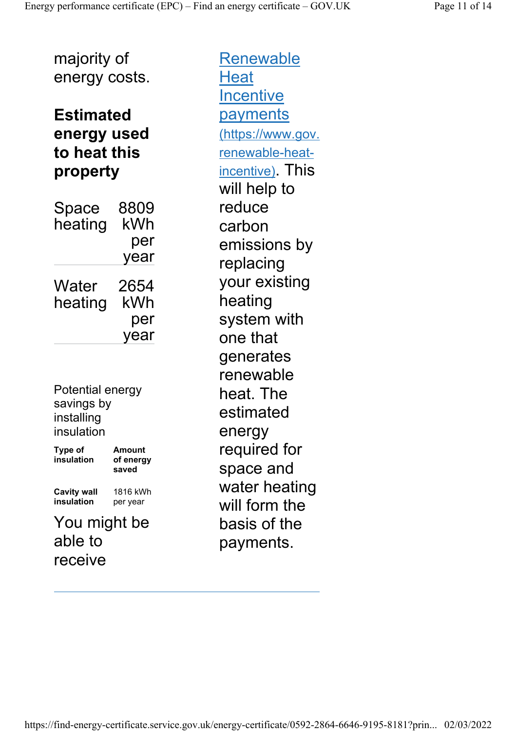majority of energy costs.

#### Estimated energy used to heat this property

| Space<br>heating | 8809<br>kWh |
|------------------|-------------|
|                  | per         |
|                  | year        |
| Water            | 2654        |
| heating          | kWh         |
|                  | per         |
|                  | year        |

Potential energy savings by installing insulation

Type of insulation Amount of energy saved Cavity wall insulation 1816 kWh per year

You might be able to receive

**Renewable Heat Incentive** payments (https://www.gov. renewable-heatincentive). This will help to reduce carbon emissions by replacing your existing heating system with one that generates renewable heat. The estimated energy required for space and water heating will form the basis of the payments.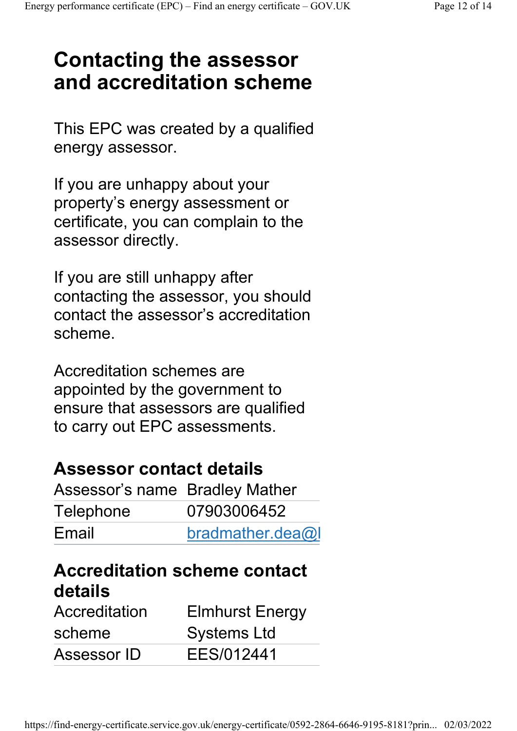### Contacting the assessor and accreditation scheme

This EPC was created by a qualified energy assessor.

If you are unhappy about your property's energy assessment or certificate, you can complain to the assessor directly.

If you are still unhappy after contacting the assessor, you should contact the assessor's accreditation scheme.

Accreditation schemes are appointed by the government to ensure that assessors are qualified to carry out EPC assessments.

#### Assessor contact details

| Assessor's name Bradley Mather |                  |  |
|--------------------------------|------------------|--|
| Telephone                      | 07903006452      |  |
| Email                          | bradmather.dea@l |  |

#### Accreditation scheme contact details

| Accreditation | <b>Elmhurst Energy</b> |
|---------------|------------------------|
| scheme        | <b>Systems Ltd</b>     |
| Assessor ID   | EES/012441             |